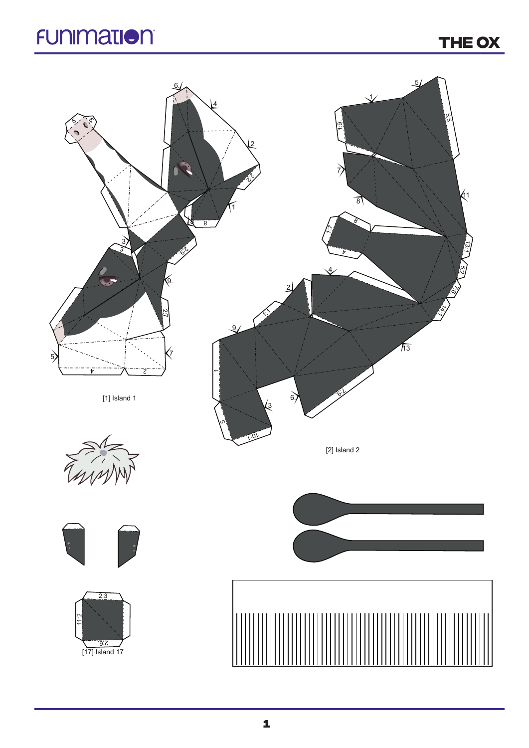## **FUNIMATION**

**THE ox**

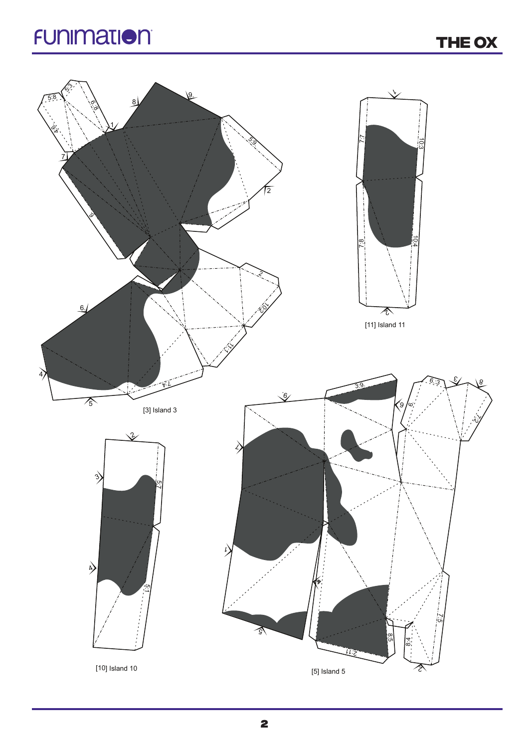## **FUNIMATION**

**THE ox**

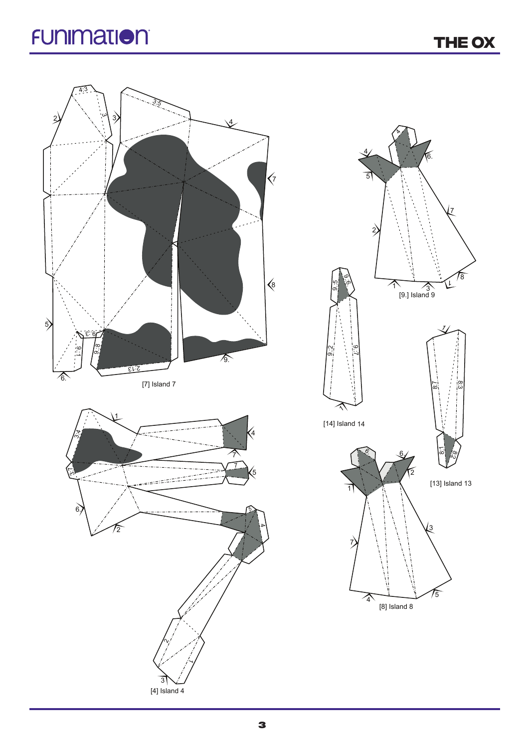## **FUNIMATION**

**THE ox**